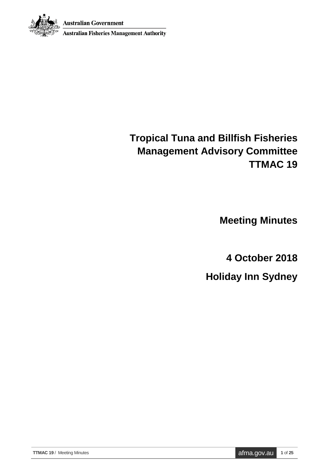**Australian Government** 



**Australian Fisheries Management Authority** 

# **Tropical Tuna and Billfish Fisheries Management Advisory Committee TTMAC 19**

**Meeting Minutes**

**4 October 2018**

**Holiday Inn Sydney**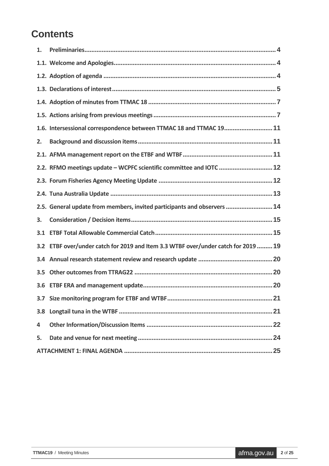## **Contents**

| 1.  |                                                                                |
|-----|--------------------------------------------------------------------------------|
|     |                                                                                |
|     |                                                                                |
|     |                                                                                |
|     |                                                                                |
|     |                                                                                |
|     | 1.6. Intersessional correspondence between TTMAC 18 and TTMAC 19 11            |
| 2.  |                                                                                |
|     |                                                                                |
|     | 2.2. RFMO meetings update - WCPFC scientific committee and IOTC  12            |
|     |                                                                                |
|     |                                                                                |
|     | 2.5. General update from members, invited participants and observers  14       |
| 3.  |                                                                                |
| 3.1 |                                                                                |
| 3.2 | ETBF over/under catch for 2019 and Item 3.3 WTBF over/under catch for 2019  19 |
|     |                                                                                |
| 3.5 |                                                                                |
|     |                                                                                |
|     |                                                                                |
| 3.8 |                                                                                |
| 4   |                                                                                |
| 5.  |                                                                                |
|     |                                                                                |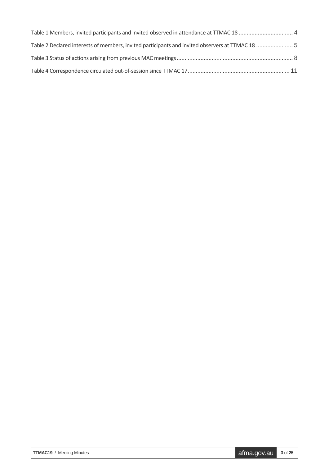| Table 1 Members, invited participants and invited observed in attendance at TTMAC 18  4         |  |
|-------------------------------------------------------------------------------------------------|--|
| Table 2 Declared interests of members, invited participants and invited observers at TTMAC 18 5 |  |
|                                                                                                 |  |
|                                                                                                 |  |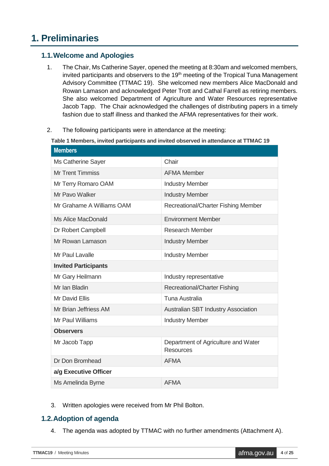## <span id="page-3-0"></span>**1. Preliminaries**

### <span id="page-3-1"></span>**1.1.Welcome and Apologies**

- 1. The Chair, Ms Catherine Sayer, opened the meeting at 8:30am and welcomed members, invited participants and observers to the 19<sup>th</sup> meeting of the Tropical Tuna Management Advisory Committee (TTMAC 19). She welcomed new members Alice MacDonald and Rowan Lamason and acknowledged Peter Trott and Cathal Farrell as retiring members. She also welcomed Department of Agriculture and Water Resources representative Jacob Tapp. The Chair acknowledged the challenges of distributing papers in a timely fashion due to staff illness and thanked the AFMA representatives for their work.
- <span id="page-3-3"></span>2. The following participants were in attendance at the meeting:

**Table 1 Members, invited participants and invited observed in attendance at TTMAC 19**

| Chair                                                   |  |  |  |  |  |
|---------------------------------------------------------|--|--|--|--|--|
| <b>AFMA Member</b>                                      |  |  |  |  |  |
| <b>Industry Member</b>                                  |  |  |  |  |  |
| <b>Industry Member</b>                                  |  |  |  |  |  |
| Recreational/Charter Fishing Member                     |  |  |  |  |  |
| <b>Environment Member</b>                               |  |  |  |  |  |
| <b>Research Member</b>                                  |  |  |  |  |  |
| <b>Industry Member</b>                                  |  |  |  |  |  |
| <b>Industry Member</b>                                  |  |  |  |  |  |
|                                                         |  |  |  |  |  |
| Industry representative                                 |  |  |  |  |  |
| <b>Recreational/Charter Fishing</b>                     |  |  |  |  |  |
| <b>Tuna Australia</b>                                   |  |  |  |  |  |
| Australian SBT Industry Association                     |  |  |  |  |  |
| <b>Industry Member</b>                                  |  |  |  |  |  |
|                                                         |  |  |  |  |  |
| Department of Agriculture and Water<br><b>Resources</b> |  |  |  |  |  |
| <b>AFMA</b>                                             |  |  |  |  |  |
| a/g Executive Officer                                   |  |  |  |  |  |
| <b>AFMA</b>                                             |  |  |  |  |  |
|                                                         |  |  |  |  |  |

3. Written apologies were received from Mr Phil Bolton.

#### <span id="page-3-2"></span>**1.2.Adoption of agenda**

4. The agenda was adopted by TTMAC with no further amendments (Attachment A).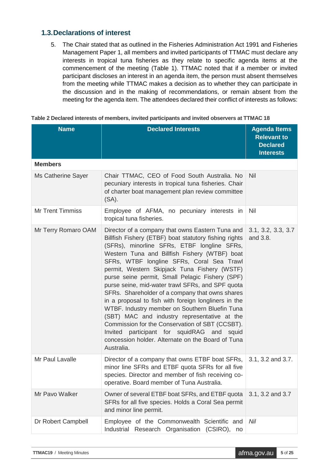### <span id="page-4-0"></span>**1.3.Declarations of interest**

5. The Chair stated that as outlined in the Fisheries Administration Act 1991 and Fisheries Management Paper 1, all members and invited participants of TTMAC must declare any interests in tropical tuna fisheries as they relate to specific agenda items at the commencement of the meeting (Table 1). TTMAC noted that if a member or invited participant discloses an interest in an agenda item, the person must absent themselves from the meeting while TTMAC makes a decision as to whether they can participate in the discussion and in the making of recommendations, or remain absent from the meeting for the agenda item. The attendees declared their conflict of interests as follows:

| <b>Name</b>             | <b>Declared Interests</b>                                                                                                                                                                                                                                                                                                                                                                                                                                                                                                                                                                                                                                                                                                                                                                      | <b>Agenda Items</b><br><b>Relevant to</b><br><b>Declared</b><br><b>Interests</b> |
|-------------------------|------------------------------------------------------------------------------------------------------------------------------------------------------------------------------------------------------------------------------------------------------------------------------------------------------------------------------------------------------------------------------------------------------------------------------------------------------------------------------------------------------------------------------------------------------------------------------------------------------------------------------------------------------------------------------------------------------------------------------------------------------------------------------------------------|----------------------------------------------------------------------------------|
| <b>Members</b>          |                                                                                                                                                                                                                                                                                                                                                                                                                                                                                                                                                                                                                                                                                                                                                                                                |                                                                                  |
| Ms Catherine Sayer      | Chair TTMAC, CEO of Food South Australia. No<br>pecuniary interests in tropical tuna fisheries. Chair<br>of charter boat management plan review committee<br>$(SA)$ .                                                                                                                                                                                                                                                                                                                                                                                                                                                                                                                                                                                                                          | <b>Nil</b>                                                                       |
| <b>Mr Trent Timmiss</b> | Employee of AFMA, no pecuniary interests in<br>tropical tuna fisheries.                                                                                                                                                                                                                                                                                                                                                                                                                                                                                                                                                                                                                                                                                                                        | <b>Nil</b>                                                                       |
| Mr Terry Romaro OAM     | Director of a company that owns Eastern Tuna and<br>Billfish Fishery (ETBF) boat statutory fishing rights<br>(SFRs), minorline SFRs, ETBF longline SFRs,<br>Western Tuna and Billfish Fishery (WTBF) boat<br>SFRs, WTBF longline SFRs, Coral Sea Trawl<br>permit, Western Skipjack Tuna Fishery (WSTF)<br>purse seine permit, Small Pelagic Fishery (SPF)<br>purse seine, mid-water trawl SFRs, and SPF quota<br>SFRs. Shareholder of a company that owns shares<br>in a proposal to fish with foreign longliners in the<br>WTBF. Industry member on Southern Bluefin Tuna<br>(SBT) MAC and industry representative at the<br>Commission for the Conservation of SBT (CCSBT).<br>Invited participant for squidRAG and squid<br>concession holder. Alternate on the Board of Tuna<br>Australia. | 3.1, 3.2, 3.3, 3.7<br>and 3.8.                                                   |
| Mr Paul Lavalle         | Director of a company that owns ETBF boat SFRs,<br>minor line SFRs and ETBF quota SFRs for all five<br>species. Director and member of fish receiving co-<br>operative. Board member of Tuna Australia.                                                                                                                                                                                                                                                                                                                                                                                                                                                                                                                                                                                        | 3.1, 3.2 and 3.7.                                                                |
| Mr Pavo Walker          | Owner of several ETBF boat SFRs, and ETBF quota<br>SFRs for all five species. Holds a Coral Sea permit<br>and minor line permit.                                                                                                                                                                                                                                                                                                                                                                                                                                                                                                                                                                                                                                                               | 3.1, 3.2 and 3.7                                                                 |
| Dr Robert Campbell      | Employee of the Commonwealth Scientific and                                                                                                                                                                                                                                                                                                                                                                                                                                                                                                                                                                                                                                                                                                                                                    | Nil                                                                              |

Industrial Research Organisation (CSIRO), no

<span id="page-4-1"></span>

| Table 2 Declared interests of members, invited participants and invited observers at TTMAC 18 |  |  |  |
|-----------------------------------------------------------------------------------------------|--|--|--|
|                                                                                               |  |  |  |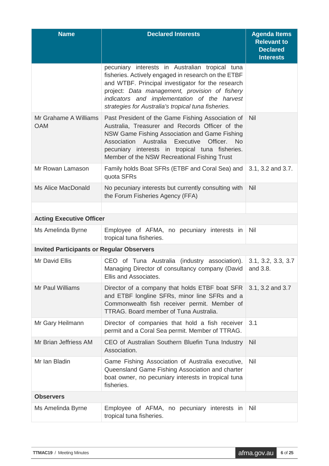| <b>Name</b>                                      | <b>Declared Interests</b>                                                                                                                                                                                                                                                                                                  | <b>Agenda Items</b><br><b>Relevant to</b><br><b>Declared</b><br><b>Interests</b> |
|--------------------------------------------------|----------------------------------------------------------------------------------------------------------------------------------------------------------------------------------------------------------------------------------------------------------------------------------------------------------------------------|----------------------------------------------------------------------------------|
|                                                  | pecuniary interests in Australian tropical tuna<br>fisheries. Actively engaged in research on the ETBF<br>and WTBF. Principal investigator for the research<br>project: Data management, provision of fishery<br>indicators and implementation of the harvest<br>strategies for Australia's tropical tuna fisheries.       |                                                                                  |
| Mr Grahame A Williams<br><b>OAM</b>              | Past President of the Game Fishing Association of<br>Australia, Treasurer and Records Officer of the<br>NSW Game Fishing Association and Game Fishing<br>Officer.<br>Association<br>Australia<br>Executive<br><b>No</b><br>pecuniary interests in tropical tuna fisheries.<br>Member of the NSW Recreational Fishing Trust | Nil                                                                              |
| Mr Rowan Lamason                                 | Family holds Boat SFRs (ETBF and Coral Sea) and<br>quota SFRs                                                                                                                                                                                                                                                              | 3.1, 3.2 and 3.7.                                                                |
| Ms Alice MacDonald                               | No pecuniary interests but currently consulting with<br>the Forum Fisheries Agency (FFA)                                                                                                                                                                                                                                   | Nil                                                                              |
|                                                  |                                                                                                                                                                                                                                                                                                                            |                                                                                  |
| <b>Acting Executive Officer</b>                  |                                                                                                                                                                                                                                                                                                                            |                                                                                  |
| Ms Amelinda Byrne                                | Employee of AFMA, no pecuniary interests in<br>tropical tuna fisheries.                                                                                                                                                                                                                                                    | <b>Nil</b>                                                                       |
| <b>Invited Participants or Regular Observers</b> |                                                                                                                                                                                                                                                                                                                            |                                                                                  |
| Mr David Ellis                                   | CEO of Tuna Australia (industry association).<br>Managing Director of consultancy company (David<br>Ellis and Associates.                                                                                                                                                                                                  | 3.1, 3.2, 3.3, 3.7<br>and 3.8.                                                   |
| Mr Paul Williams                                 | Director of a company that holds ETBF boat SFR<br>and ETBF longline SFRs, minor line SFRs and a<br>Commonwealth fish receiver permit. Member of<br><b>TTRAG. Board member of Tuna Australia.</b>                                                                                                                           | 3.1, 3.2 and 3.7                                                                 |
| Mr Gary Heilmann                                 | Director of companies that hold a fish receiver<br>permit and a Coral Sea permit. Member of TTRAG.                                                                                                                                                                                                                         | 3.1                                                                              |
| Mr Brian Jeffriess AM                            | CEO of Australian Southern Bluefin Tuna Industry<br>Association.                                                                                                                                                                                                                                                           | <b>Nil</b>                                                                       |
| Mr Ian Bladin                                    | Game Fishing Association of Australia executive,<br>Queensland Game Fishing Association and charter<br>boat owner, no pecuniary interests in tropical tuna<br>fisheries.                                                                                                                                                   | Nil                                                                              |
| <b>Observers</b>                                 |                                                                                                                                                                                                                                                                                                                            |                                                                                  |
| Ms Amelinda Byrne                                | Employee of AFMA, no pecuniary interests in<br>tropical tuna fisheries.                                                                                                                                                                                                                                                    | Nil                                                                              |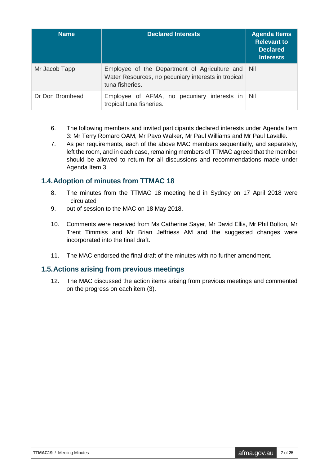| <b>Name</b>     | <b>Declared Interests</b>                                                                                                   | <b>Agenda Items</b><br><b>Relevant to</b><br><b>Declared</b><br><b>Interests</b> |
|-----------------|-----------------------------------------------------------------------------------------------------------------------------|----------------------------------------------------------------------------------|
| Mr Jacob Tapp   | Employee of the Department of Agriculture and Nil<br>Water Resources, no pecuniary interests in tropical<br>tuna fisheries. |                                                                                  |
| Dr Don Bromhead | Employee of AFMA, no pecuniary interests in<br>tropical tuna fisheries.                                                     | - Nil                                                                            |

- 6. The following members and invited participants declared interests under Agenda Item 3: Mr Terry Romaro OAM, Mr Pavo Walker, Mr Paul Williams and Mr Paul Lavalle.
- 7. As per requirements, each of the above MAC members sequentially, and separately, left the room, and in each case, remaining members of TTMAC agreed that the member should be allowed to return for all discussions and recommendations made under Agenda Item 3.

#### <span id="page-6-0"></span>**1.4.Adoption of minutes from TTMAC 18**

- 8. The minutes from the TTMAC 18 meeting held in Sydney on 17 April 2018 were circulated
- 9. out of session to the MAC on 18 May 2018.
- 10. Comments were received from Ms Catherine Sayer, Mr David Ellis, Mr Phil Bolton, Mr Trent Timmiss and Mr Brian Jeffriess AM and the suggested changes were incorporated into the final draft.
- 11. The MAC endorsed the final draft of the minutes with no further amendment.

#### <span id="page-6-1"></span>**1.5.Actions arising from previous meetings**

12. The MAC discussed the action items arising from previous meetings and commented on the progress on each item (3).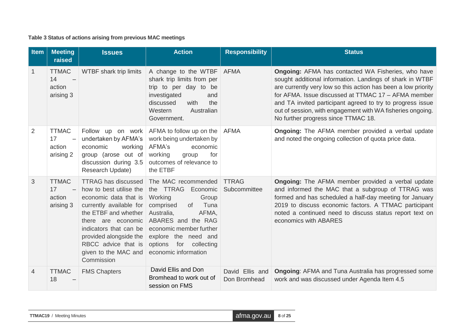**Table 3 Status of actions arising from previous MAC meetings**

<span id="page-7-0"></span>

| Item | <b>Meeting</b><br>raised                  | <b>Issues</b>                                                                                                                                                                                                                                                            | <b>Action</b>                                                                                                                                                                                                                                       | <b>Responsibility</b>           | <b>Status</b>                                                                                                                                                                                                                                                                                                                                                                                             |
|------|-------------------------------------------|--------------------------------------------------------------------------------------------------------------------------------------------------------------------------------------------------------------------------------------------------------------------------|-----------------------------------------------------------------------------------------------------------------------------------------------------------------------------------------------------------------------------------------------------|---------------------------------|-----------------------------------------------------------------------------------------------------------------------------------------------------------------------------------------------------------------------------------------------------------------------------------------------------------------------------------------------------------------------------------------------------------|
| 1    | <b>TTMAC</b><br>14<br>action<br>arising 3 | WTBF shark trip limits                                                                                                                                                                                                                                                   | A change to the WTBF<br>shark trip limits from per<br>trip to per day to be<br>investigated<br>and<br>with<br>discussed<br>the<br>Western<br>Australian<br>Government.                                                                              | <b>AFMA</b>                     | Ongoing: AFMA has contacted WA Fisheries, who have<br>sought additional information. Landings of shark in WTBF<br>are currently very low so this action has been a low priority<br>for AFMA, Issue discussed at TTMAC 17 - AFMA member<br>and TA invited participant agreed to try to progress issue<br>out of session, with engagement with WA fisheries ongoing.<br>No further progress since TTMAC 18. |
| 2    | <b>TTMAC</b><br>17<br>action<br>arising 2 | Follow up on work<br>undertaken by AFMA's<br>economic<br>working<br>group (arose out of<br>discussion during 3.5<br>Research Update)                                                                                                                                     | AFMA to follow up on the<br>work being undertaken by<br>AFMA's<br>economic<br>working<br>for<br>group<br>outcomes of relevance to<br>the ETBF                                                                                                       | <b>AFMA</b>                     | <b>Ongoing:</b> The AFMA member provided a verbal update<br>and noted the ongoing collection of quota price data.                                                                                                                                                                                                                                                                                         |
| 3    | <b>TTMAC</b><br>17<br>action<br>arising 3 | <b>TTRAG has discussed</b><br>how to best utilise the<br>economic data that is<br>currently available for<br>the ETBF and whether<br>there are economic<br>indicators that can be<br>provided alongside the<br>RBCC advice that is<br>given to the MAC and<br>Commission | The MAC recommended<br>the TTRAG<br>Economic<br>Working<br>Group<br>Tuna<br>comprised<br>0f<br>Australia,<br>AFMA,<br>ABARES and the RAG<br>economic member further<br>explore the need and<br>options<br>for<br>collecting<br>economic information | <b>TTRAG</b><br>Subcommittee    | <b>Ongoing:</b> The AFMA member provided a verbal update<br>and informed the MAC that a subgroup of TTRAG was<br>formed and has scheduled a half-day meeting for January<br>2019 to discuss economic factors. A TTMAC participant<br>noted a continued need to discuss status report text on<br>economics with ABARES                                                                                     |
| 4    | <b>TTMAC</b><br>18                        | <b>FMS Chapters</b>                                                                                                                                                                                                                                                      | David Ellis and Don<br>Bromhead to work out of<br>session on FMS                                                                                                                                                                                    | David Ellis and<br>Don Bromhead | <b>Ongoing: AFMA and Tuna Australia has progressed some</b><br>work and was discussed under Agenda Item 4.5                                                                                                                                                                                                                                                                                               |

| $air$ afma.gov.au $8$ of 25<br><b>TTMAC19</b> / Meeting Minutes |
|-----------------------------------------------------------------|
|-----------------------------------------------------------------|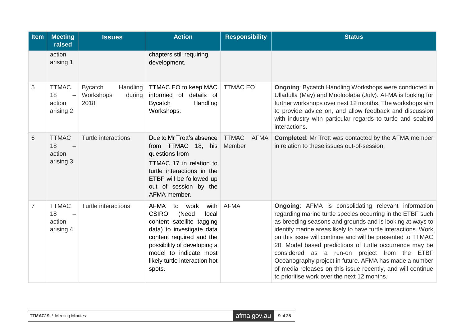| <b>Item</b> | <b>Meeting</b><br>raised                                              | <b>Issues</b>                                             | <b>Action</b>                                                                                                                                                                                                                                              | <b>Responsibility</b>                 | <b>Status</b>                                                                                                                                                                                                                                                                                                                                                                                                                                                                                                                                                                                            |
|-------------|-----------------------------------------------------------------------|-----------------------------------------------------------|------------------------------------------------------------------------------------------------------------------------------------------------------------------------------------------------------------------------------------------------------------|---------------------------------------|----------------------------------------------------------------------------------------------------------------------------------------------------------------------------------------------------------------------------------------------------------------------------------------------------------------------------------------------------------------------------------------------------------------------------------------------------------------------------------------------------------------------------------------------------------------------------------------------------------|
|             | action<br>arising 1                                                   |                                                           | chapters still requiring<br>development.                                                                                                                                                                                                                   |                                       |                                                                                                                                                                                                                                                                                                                                                                                                                                                                                                                                                                                                          |
| 5           | <b>TTMAC</b><br>18<br>$\overline{\phantom{0}}$<br>action<br>arising 2 | <b>Bycatch</b><br>Handling<br>Workshops<br>during<br>2018 | TTMAC EO to keep MAC<br>informed of details of<br><b>Bycatch</b><br>Handling<br>Workshops.                                                                                                                                                                 | <b>TTMAC EO</b>                       | <b>Ongoing: Bycatch Handling Workshops were conducted in</b><br>Ulladulla (May) and Mooloolaba (July). AFMA is looking for<br>further workshops over next 12 months. The workshops aim<br>to provide advice on, and allow feedback and discussion<br>with industry with particular regards to turtle and seabird<br>interactions.                                                                                                                                                                                                                                                                        |
| 6           | <b>TTMAC</b><br>18<br>action<br>arising 3                             | Turtle interactions                                       | Due to Mr Trott's absence<br>from TTMAC 18, his<br>questions from<br>TTMAC 17 in relation to<br>turtle interactions in the<br>ETBF will be followed up<br>out of session by the<br>AFMA member.                                                            | <b>TTMAC</b><br><b>AFMA</b><br>Member | <b>Completed:</b> Mr Trott was contacted by the AFMA member<br>in relation to these issues out-of-session.                                                                                                                                                                                                                                                                                                                                                                                                                                                                                               |
| 7           | <b>TTMAC</b><br>18<br>$\overline{\phantom{m}}$<br>action<br>arising 4 | Turtle interactions                                       | <b>AFMA</b><br>with<br>to work<br><b>CSIRO</b><br>(Need<br>local<br>content satellite tagging<br>data) to investigate data<br>content required and the<br>possibility of developing a<br>model to indicate most<br>likely turtle interaction hot<br>spots. | <b>AFMA</b>                           | <b>Ongoing:</b> AFMA is consolidating relevant information<br>regarding marine turtle species occurring in the ETBF such<br>as breeding seasons and grounds and is looking at ways to<br>identify marine areas likely to have turtle interactions. Work<br>on this issue will continue and will be presented to TTMAC<br>20. Model based predictions of turtle occurrence may be<br>considered as a run-on project from the ETBF<br>Oceanography project in future. AFMA has made a number<br>of media releases on this issue recently, and will continue<br>to prioritise work over the next 12 months. |

| <b>TTMAC19</b> / Meeting Minutes | afma.gov.au 9 of 25 |  |
|----------------------------------|---------------------|--|
|----------------------------------|---------------------|--|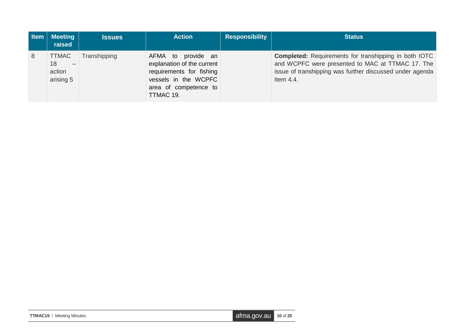| Item | <b>Meeting</b><br>raised                                              | <b>Issues</b> | <b>Action</b>                                                                                                                              | <b>Responsibility</b> | <b>Status</b>                                                                                                                                                                                |
|------|-----------------------------------------------------------------------|---------------|--------------------------------------------------------------------------------------------------------------------------------------------|-----------------------|----------------------------------------------------------------------------------------------------------------------------------------------------------------------------------------------|
| 8    | <b>TTMAC</b><br>18<br>$\overline{\phantom{a}}$<br>action<br>arising 5 | Transhipping  | AFMA to provide an<br>explanation of the current<br>requirements for fishing<br>vessels in the WCPFC<br>area of competence to<br>TTMAC 19. |                       | <b>Completed:</b> Requirements for transhipping in both IOTC<br>and WCPFC were presented to MAC at TTMAC 17. The<br>issue of transhipping was further discussed under agenda<br>Item $4.4$ . |

| <b>TTMAC19</b> / Meeting Minutes | $\alpha$ afma.gov.au $\alpha$ 10 of 25 |  |
|----------------------------------|----------------------------------------|--|
|----------------------------------|----------------------------------------|--|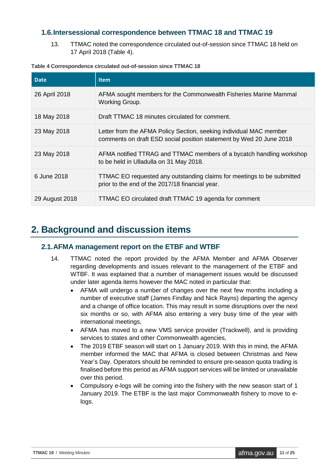### <span id="page-10-0"></span>**1.6.Intersessional correspondence between TTMAC 18 and TTMAC 19**

13. TTMAC noted the correspondence circulated out-of-session since TTMAC 18 held on 17 April 2018 (Table 4).

| <b>Date</b>    | <b>Item</b>                                                                                                                               |
|----------------|-------------------------------------------------------------------------------------------------------------------------------------------|
| 26 April 2018  | AFMA sought members for the Commonwealth Fisheries Marine Mammal<br>Working Group.                                                        |
| 18 May 2018    | Draft TTMAC 18 minutes circulated for comment.                                                                                            |
| 23 May 2018    | Letter from the AFMA Policy Section, seeking individual MAC member<br>comments on draft ESD social position statement by Wed 20 June 2018 |
| 23 May 2018    | AFMA notified TTRAG and TTMAC members of a bycatch handling workshop<br>to be held in Ulladulla on 31 May 2018.                           |
| 6 June 2018    | TTMAC EO requested any outstanding claims for meetings to be submitted<br>prior to the end of the 2017/18 financial year.                 |
| 29 August 2018 | TTMAC EO circulated draft TTMAC 19 agenda for comment                                                                                     |

#### <span id="page-10-3"></span>**Table 4 Correspondence circulated out-of-session since TTMAC 18**

## <span id="page-10-1"></span>**2. Background and discussion items**

#### <span id="page-10-2"></span>**2.1.AFMA management report on the ETBF and WTBF**

- 14. TTMAC noted the report provided by the AFMA Member and AFMA Observer regarding developments and issues relevant to the management of the ETBF and WTBF. It was explained that a number of management issues would be discussed under later agenda items however the MAC noted in particular that:
	- AFMA will undergo a number of changes over the next few months including a number of executive staff (James Findlay and Nick Rayns) departing the agency and a change of office location. This may result in some disruptions over the next six months or so, with AFMA also entering a very busy time of the year with international meetings,
	- AFMA has moved to a new VMS service provider (Trackwell), and is providing services to states and other Commonwealth agencies.
	- The 2019 ETBF season will start on 1 January 2019. With this in mind, the AFMA member informed the MAC that AFMA is closed between Christmas and New Year's Day. Operators should be reminded to ensure pre-season quota trading is finalised before this period as AFMA support services will be limited or unavailable over this period.
	- Compulsory e-logs will be coming into the fishery with the new season start of 1 January 2019. The ETBF is the last major Commonwealth fishery to move to elogs.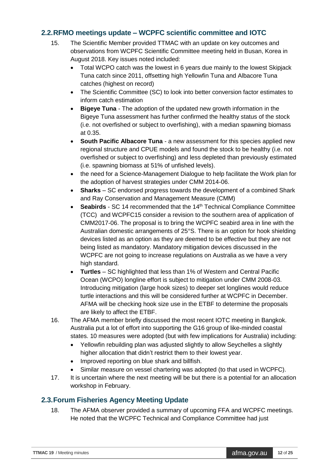### <span id="page-11-0"></span>**2.2.RFMO meetings update – WCPFC scientific committee and IOTC**

- 15. The Scientific Member provided TTMAC with an update on key outcomes and observations from WCPFC Scientific Committee meeting held in Busan, Korea in August 2018. Key issues noted included:
	- Total WCPO catch was the lowest in 6 years due mainly to the lowest Skipjack Tuna catch since 2011, offsetting high Yellowfin Tuna and Albacore Tuna catches (highest on record)
	- The Scientific Committee (SC) to look into better conversion factor estimates to inform catch estimation
	- **Bigeye Tuna** The adoption of the updated new growth information in the Bigeye Tuna assessment has further confirmed the healthy status of the stock (i.e. not overfished or subject to overfishing), with a median spawning biomass at 0.35.
	- **South Pacific Albacore Tuna** a new assessment for this species applied new regional structure and CPUE models and found the stock to be healthy (i.e. not overfished or subject to overfishing) and less depleted than previously estimated (i.e. spawning biomass at 51% of unfished levels).
	- the need for a Science-Management Dialogue to help facilitate the Work plan for the adoption of harvest strategies under CMM 2014-06.
	- **Sharks** SC endorsed progress towards the development of a combined Shark and Ray Conservation and Management Measure (CMM)
	- **Seabirds** SC 14 recommended that the 14<sup>th</sup> Technical Compliance Committee (TCC) and WCPFC15 consider a revision to the southern area of application of CMM2017-06. The proposal is to bring the WCPFC seabird area in line with the Australian domestic arrangements of 25°S. There is an option for hook shielding devices listed as an option as they are deemed to be effective but they are not being listed as mandatory. Mandatory mitigation devices discussed in the WCPFC are not going to increase regulations on Australia as we have a very high standard.
	- **Turtles**  SC highlighted that less than 1% of Western and Central Pacific Ocean (WCPO) longline effort is subject to mitigation under CMM 2008-03. Introducing mitigation (large hook sizes) to deeper set longlines would reduce turtle interactions and this will be considered further at WCPFC in December. AFMA will be checking hook size use in the ETBF to determine the proposals are likely to affect the ETBF.
- 16. The AFMA member briefly discussed the most recent IOTC meeting in Bangkok. Australia put a lot of effort into supporting the G16 group of like-minded coastal states. 10 measures were adopted (but with few implications for Australia) including:
	- Yellowfin rebuilding plan was adjusted slightly to allow Seychelles a slightly higher allocation that didn't restrict them to their lowest year.
	- Improved reporting on blue shark and billfish.
	- Similar measure on vessel chartering was adopted (to that used in WCPFC).
- 17. It is uncertain where the next meeting will be but there is a potential for an allocation workshop in February.

## <span id="page-11-1"></span>**2.3.Forum Fisheries Agency Meeting Update**

18. The AFMA observer provided a summary of upcoming FFA and WCPFC meetings. He noted that the WCPFC Technical and Compliance Committee had just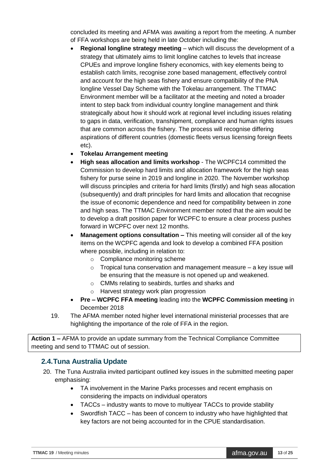concluded its meeting and AFMA was awaiting a report from the meeting. A number of FFA workshops are being held in late October including the:

- **Regional longline strategy meeting** which will discuss the development of a strategy that ultimately aims to limit longline catches to levels that increase CPUEs and improve longline fishery economics, with key elements being to establish catch limits, recognise zone based management, effectively control and account for the high seas fishery and ensure compatibility of the PNA longline Vessel Day Scheme with the Tokelau arrangement. The TTMAC Environment member will be a facilitator at the meeting and noted a broader intent to step back from individual country longline management and think strategically about how it should work at regional level including issues relating to gaps in data, verification, transhipment, compliance and human rights issues that are common across the fishery. The process will recognise differing aspirations of different countries (domestic fleets versus licensing foreign fleets etc).
- **Tokelau Arrangement meeting**
- **High seas allocation and limits workshop** The WCPFC14 committed the Commission to develop hard limits and allocation framework for the high seas fishery for purse seine in 2019 and longline in 2020. The November workshop will discuss principles and criteria for hard limits (firstly) and high seas allocation (subsequently) and draft principles for hard limits and allocation that recognise the issue of economic dependence and need for compatibility between in zone and high seas. The TTMAC Environment member noted that the aim would be to develop a draft position paper for WCPFC to ensure a clear process pushes forward in WCPFC over next 12 months.
- **Management options consultation This meeting will consider all of the key** items on the WCPFC agenda and look to develop a combined FFA position where possible, including in relation to:
	- o Compliance monitoring scheme
	- $\circ$  Tropical tuna conservation and management measure a key issue will be ensuring that the measure is not opened up and weakened.
	- o CMMs relating to seabirds, turtles and sharks and
	- o Harvest strategy work plan progression
- **Pre – WCPFC FFA meeting** leading into the **WCPFC Commission meeting** in December 2018
- 19. The AFMA member noted higher level international ministerial processes that are highlighting the importance of the role of FFA in the region.

**Action 1 –** AFMA to provide an update summary from the Technical Compliance Committee meeting and send to TTMAC out of session.

#### <span id="page-12-0"></span>**2.4.Tuna Australia Update**

- 20. The Tuna Australia invited participant outlined key issues in the submitted meeting paper emphasising:
	- TA involvement in the Marine Parks processes and recent emphasis on considering the impacts on individual operators
	- TACCs industry wants to move to multiyear TACCs to provide stability
	- Swordfish TACC has been of concern to industry who have highlighted that key factors are not being accounted for in the CPUE standardisation.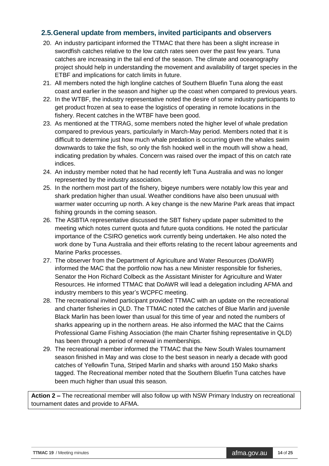### <span id="page-13-0"></span>**2.5.General update from members, invited participants and observers**

- 20. An industry participant informed the TTMAC that there has been a slight increase in swordfish catches relative to the low catch rates seen over the past few years. Tuna catches are increasing in the tail end of the season. The climate and oceanography project should help in understanding the movement and availability of target species in the ETBF and implications for catch limits in future.
- 21. All members noted the high longline catches of Southern Bluefin Tuna along the east coast and earlier in the season and higher up the coast when compared to previous years.
- 22. In the WTBF, the industry representative noted the desire of some industry participants to get product frozen at sea to ease the logistics of operating in remote locations in the fishery. Recent catches in the WTBF have been good.
- 23. As mentioned at the TTRAG, some members noted the higher level of whale predation compared to previous years, particularly in March-May period. Members noted that it is difficult to determine just how much whale predation is occurring given the whales swim downwards to take the fish, so only the fish hooked well in the mouth will show a head, indicating predation by whales. Concern was raised over the impact of this on catch rate indices.
- 24. An industry member noted that he had recently left Tuna Australia and was no longer represented by the industry association.
- 25. In the northern most part of the fishery, bigeye numbers were notably low this year and shark predation higher than usual. Weather conditions have also been unusual with warmer water occurring up north. A key change is the new Marine Park areas that impact fishing grounds in the coming season.
- 26. The ASBTIA representative discussed the SBT fishery update paper submitted to the meeting which notes current quota and future quota conditions. He noted the particular importance of the CSIRO genetics work currently being undertaken. He also noted the work done by Tuna Australia and their efforts relating to the recent labour agreements and Marine Parks processes.
- 27. The observer from the Department of Agriculture and Water Resources (DoAWR) informed the MAC that the portfolio now has a new Minister responsible for fisheries, Senator the Hon Richard Colbeck as the Assistant Minister for Agriculture and Water Resources. He informed TTMAC that DoAWR will lead a delegation including AFMA and industry members to this year's WCPFC meeting.
- 28. The recreational invited participant provided TTMAC with an update on the recreational and charter fisheries in QLD. The TTMAC noted the catches of Blue Marlin and juvenile Black Marlin has been lower than usual for this time of year and noted the numbers of sharks appearing up in the northern areas. He also informed the MAC that the Cairns Professional Game Fishing Association (the main Charter fishing representative in QLD) has been through a period of renewal in memberships.
- 29. The recreational member informed the TTMAC that the New South Wales tournament season finished in May and was close to the best season in nearly a decade with good catches of Yellowfin Tuna, Striped Marlin and sharks with around 150 Mako sharks tagged. The Recreational member noted that the Southern Bluefin Tuna catches have been much higher than usual this season.

**Action 2 –** The recreational member will also follow up with NSW Primary Industry on recreational tournament dates and provide to AFMA.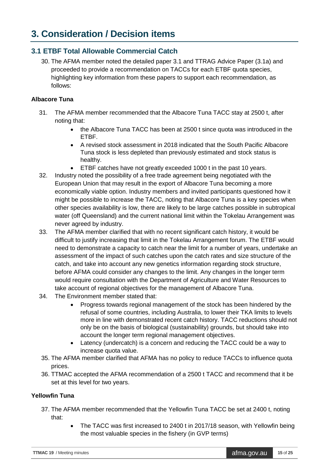## <span id="page-14-0"></span>**3. Consideration / Decision items**

### <span id="page-14-1"></span>**3.1 ETBF Total Allowable Commercial Catch**

30. The AFMA member noted the detailed paper 3.1 and TTRAG Advice Paper (3.1a) and proceeded to provide a recommendation on TACCs for each ETBF quota species, highlighting key information from these papers to support each recommendation, as follows:

#### **Albacore Tuna**

- 31. The AFMA member recommended that the Albacore Tuna TACC stay at 2500 t, after noting that:
	- the Albacore Tuna TACC has been at 2500 t since quota was introduced in the ETBF.
	- A revised stock assessment in 2018 indicated that the South Pacific Albacore Tuna stock is less depleted than previously estimated and stock status is healthy.
	- ETBF catches have not greatly exceeded 1000 t in the past 10 years.
- 32. Industry noted the possibility of a free trade agreement being negotiated with the European Union that may result in the export of Albacore Tuna becoming a more economically viable option. Industry members and invited participants questioned how it might be possible to increase the TACC, noting that Albacore Tuna is a key species when other species availability is low, there are likely to be large catches possible in subtropical water (off Queensland) and the current national limit within the Tokelau Arrangement was never agreed by industry.
- 33. The AFMA member clarified that with no recent significant catch history, it would be difficult to justify increasing that limit in the Tokelau Arrangement forum. The ETBF would need to demonstrate a capacity to catch near the limit for a number of years, undertake an assessment of the impact of such catches upon the catch rates and size structure of the catch, and take into account any new genetics information regarding stock structure, before AFMA could consider any changes to the limit. Any changes in the longer term would require consultation with the Department of Agriculture and Water Resources to take account of regional objectives for the management of Albacore Tuna.
- 34. The Environment member stated that:
	- Progress towards regional management of the stock has been hindered by the refusal of some countries, including Australia, to lower their TKA limits to levels more in line with demonstrated recent catch history. TACC reductions should not only be on the basis of biological (sustainability) grounds, but should take into account the longer term regional management objectives.
	- Latency (undercatch) is a concern and reducing the TACC could be a way to increase quota value.
- 35. The AFMA member clarified that AFMA has no policy to reduce TACCs to influence quota prices.
- 36. TTMAC accepted the AFMA recommendation of a 2500 t TACC and recommend that it be set at this level for two years.

#### **Yellowfin Tuna**

- 37. The AFMA member recommended that the Yellowfin Tuna TACC be set at 2400 t, noting that:
	- The TACC was first increased to 2400 t in 2017/18 season, with Yellowfin being the most valuable species in the fishery (in GVP terms)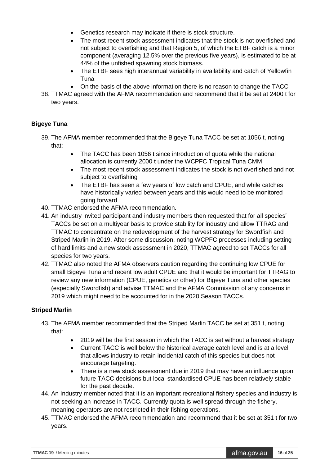- Genetics research may indicate if there is stock structure.
- The most recent stock assessment indicates that the stock is not overfished and not subject to overfishing and that Region 5, of which the ETBF catch is a minor component (averaging 12.5% over the previous five years), is estimated to be at 44% of the unfished spawning stock biomass.
- The ETBF sees high interannual variability in availability and catch of Yellowfin Tuna
- On the basis of the above information there is no reason to change the TACC
- 38. TTMAC agreed with the AFMA recommendation and recommend that it be set at 2400 t for two years.

#### **Bigeye Tuna**

- 39. The AFMA member recommended that the Bigeye Tuna TACC be set at 1056 t, noting that:
	- The TACC has been 1056 t since introduction of quota while the national allocation is currently 2000 t under the WCPFC Tropical Tuna CMM
	- The most recent stock assessment indicates the stock is not overfished and not subject to overfishing
	- The ETBF has seen a few years of low catch and CPUE, and while catches have historically varied between years and this would need to be monitored going forward
- 40. TTMAC endorsed the AFMA recommendation.
- 41. An industry invited participant and industry members then requested that for all species' TACCs be set on a multiyear basis to provide stability for industry and allow TTRAG and TTMAC to concentrate on the redevelopment of the harvest strategy for Swordfish and Striped Marlin in 2019. After some discussion, noting WCPFC processes including setting of hard limits and a new stock assessment in 2020, TTMAC agreed to set TACCs for all species for two years.
- 42. TTMAC also noted the AFMA observers caution regarding the continuing low CPUE for small Bigeye Tuna and recent low adult CPUE and that it would be important for TTRAG to review any new information (CPUE, genetics or other) for Bigeye Tuna and other species (especially Swordfish) and advise TTMAC and the AFMA Commission of any concerns in 2019 which might need to be accounted for in the 2020 Season TACCs.

#### **Striped Marlin**

- 43. The AFMA member recommended that the Striped Marlin TACC be set at 351 t, noting that:
	- 2019 will be the first season in which the TACC is set without a harvest strategy
	- Current TACC is well below the historical average catch level and is at a level that allows industry to retain incidental catch of this species but does not encourage targeting.
	- There is a new stock assessment due in 2019 that may have an influence upon future TACC decisions but local standardised CPUE has been relatively stable for the past decade.
- 44. An Industry member noted that it is an important recreational fishery species and industry is not seeking an increase in TACC. Currently quota is well spread through the fishery, meaning operators are not restricted in their fishing operations.
- 45. TTMAC endorsed the AFMA recommendation and recommend that it be set at 351 t for two years.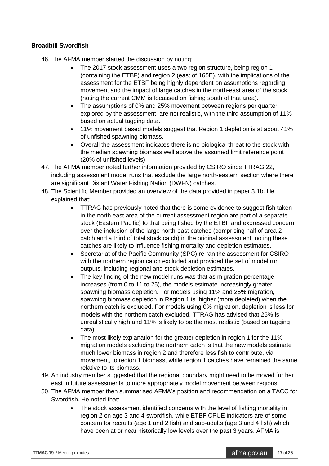#### **Broadbill Swordfish**

- 46. The AFMA member started the discussion by noting:
	- The 2017 stock assessment uses a two region structure, being region 1 (containing the ETBF) and region 2 (east of 165E), with the implications of the assessment for the ETBF being highly dependent on assumptions regarding movement and the impact of large catches in the north-east area of the stock (noting the current CMM is focussed on fishing south of that area).
	- The assumptions of 0% and 25% movement between regions per quarter, explored by the assessment, are not realistic, with the third assumption of 11% based on actual tagging data.
	- 11% movement based models suggest that Region 1 depletion is at about 41% of unfished spawning biomass.
	- Overall the assessment indicates there is no biological threat to the stock with the median spawning biomass well above the assumed limit reference point (20% of unfished levels).
- 47. The AFMA member noted further information provided by CSIRO since TTRAG 22, including assessment model runs that exclude the large north-eastern section where there are significant Distant Water Fishing Nation (DWFN) catches.
- 48. The Scientific Member provided an overview of the data provided in paper 3.1b. He explained that:
	- TTRAG has previously noted that there is some evidence to suggest fish taken in the north east area of the current assessment region are part of a separate stock (Eastern Pacific) to that being fished by the ETBF and expressed concern over the inclusion of the large north-east catches (comprising half of area 2 catch and a third of total stock catch) in the original assessment, noting these catches are likely to influence fishing mortality and depletion estimates.
	- Secretariat of the Pacific Community (SPC) re-ran the assessment for CSIRO with the northern region catch excluded and provided the set of model run outputs, including regional and stock depletion estimates.
	- The key finding of the new model runs was that as migration percentage increases (from 0 to 11 to 25), the models estimate increasingly greater spawning biomass depletion. For models using 11% and 25% migration, spawning biomass depletion in Region 1 is higher (more depleted) when the northern catch is excluded. For models using 0% migration, depletion is less for models with the northern catch excluded. TTRAG has advised that 25% is unrealistically high and 11% is likely to be the most realistic (based on tagging data).
	- The most likely explanation for the greater depletion in region 1 for the 11% migration models excluding the northern catch is that the new models estimate much lower biomass in region 2 and therefore less fish to contribute, via movement, to region 1 biomass, while region 1 catches have remained the same relative to its biomass.
- 49. An industry member suggested that the regional boundary might need to be moved further east in future assessments to more appropriately model movement between regions.
- 50. The AFMA member then summarised AFMA's position and recommendation on a TACC for Swordfish. He noted that:
	- The stock assessment identified concerns with the level of fishing mortality in region 2 on age 3 and 4 swordfish, while ETBF CPUE indicators are of some concern for recruits (age 1 and 2 fish) and sub-adults (age 3 and 4 fish) which have been at or near historically low levels over the past 3 years. AFMA is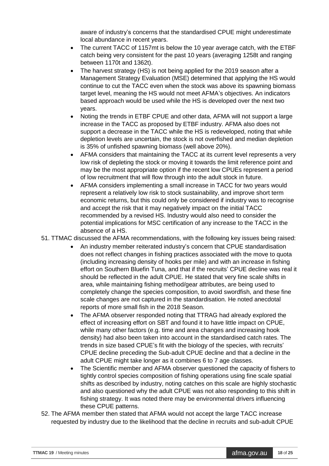aware of industry's concerns that the standardised CPUE might underestimate local abundance in recent years.

- The current TACC of 1157mt is below the 10 year average catch, with the ETBF catch being very consistent for the past 10 years (averaging 1258t and ranging between 1170t and 1362t).
- The harvest strategy (HS) is not being applied for the 2019 season after a Management Strategy Evaluation (MSE) determined that applying the HS would continue to cut the TACC even when the stock was above its spawning biomass target level, meaning the HS would not meet AFMA's objectives. An indicators based approach would be used while the HS is developed over the next two years.
- Noting the trends in ETBF CPUE and other data, AFMA will not support a large increase in the TACC as proposed by ETBF industry. AFMA also does not support a decrease in the TACC while the HS is redeveloped, noting that while depletion levels are uncertain, the stock is not overfished and median depletion is 35% of unfished spawning biomass (well above 20%).
- AFMA considers that maintaining the TACC at its current level represents a very low risk of depleting the stock or moving it towards the limit reference point and may be the most appropriate option if the recent low CPUEs represent a period of low recruitment that will flow through into the adult stock in future.
- AFMA considers implementing a small increase in TACC for two years would represent a relatively low risk to stock sustainability, and improve short term economic returns, but this could only be considered if industry was to recognise and accept the risk that it may negatively impact on the initial TACC recommended by a revised HS. Industry would also need to consider the potential implications for MSC certification of any increase to the TACC in the absence of a HS.
- 51. TTMAC discussed the AFMA recommendations, with the following key issues being raised:
	- An industry member reiterated industry's concern that CPUE standardisation does not reflect changes in fishing practices associated with the move to quota (including increasing density of hooks per mile) and with an increase in fishing effort on Southern Bluefin Tuna, and that if the recruits' CPUE decline was real it should be reflected in the adult CPUE. He stated that very fine scale shifts in area, while maintaining fishing method/gear attributes, are being used to completely change the species composition, to avoid swordfish, and these fine scale changes are not captured in the standardisation. He noted anecdotal reports of more small fish in the 2018 Season.
	- The AFMA observer responded noting that TTRAG had already explored the effect of increasing effort on SBT and found it to have little impact on CPUE, while many other factors (e.g. time and area changes and increasing hook density) had also been taken into account in the standardised catch rates. The trends in size based CPUE's fit with the biology of the species, with recruits' CPUE decline preceding the Sub-adult CPUE decline and that a decline in the adult CPUE might take longer as it combines 6 to 7 age classes.
	- The Scientific member and AFMA observer questioned the capacity of fishers to tightly control species composition of fishing operations using fine scale spatial shifts as described by industry, noting catches on this scale are highly stochastic and also questioned why the adult CPUE was not also responding to this shift in fishing strategy. It was noted there may be environmental drivers influencing these CPUE patterns.
- 52. The AFMA member then stated that AFMA would not accept the large TACC increase requested by industry due to the likelihood that the decline in recruits and sub-adult CPUE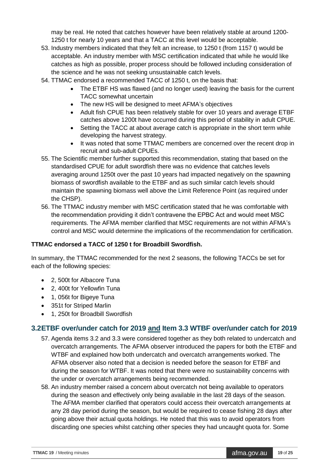may be real. He noted that catches however have been relatively stable at around 1200- 1250 t for nearly 10 years and that a TACC at this level would be acceptable.

- 53. Industry members indicated that they felt an increase, to 1250 t (from 1157 t) would be acceptable. An industry member with MSC certification indicated that while he would like catches as high as possible, proper process should be followed including consideration of the science and he was not seeking unsustainable catch levels.
- 54. TTMAC endorsed a recommended TACC of 1250 t, on the basis that:
	- The ETBF HS was flawed (and no longer used) leaving the basis for the current TACC somewhat uncertain
	- The new HS will be designed to meet AFMA's objectives
	- Adult fish CPUE has been relatively stable for over 10 years and average ETBF catches above 1200t have occurred during this period of stability in adult CPUE.
	- Setting the TACC at about average catch is appropriate in the short term while developing the harvest strategy.
	- It was noted that some TTMAC members are concerned over the recent drop in recruit and sub-adult CPUEs.
- 55. The Scientific member further supported this recommendation, stating that based on the standardised CPUE for adult swordfish there was no evidence that catches levels averaging around 1250t over the past 10 years had impacted negatively on the spawning biomass of swordfish available to the ETBF and as such similar catch levels should maintain the spawning biomass well above the Limit Reference Point (as required under the CHSP).
- 56. The TTMAC industry member with MSC certification stated that he was comfortable with the recommendation providing it didn't contravene the EPBC Act and would meet MSC requirements. The AFMA member clarified that MSC requirements are not within AFMA's control and MSC would determine the implications of the recommendation for certification.

#### **TTMAC endorsed a TACC of 1250 t for Broadbill Swordfish.**

In summary, the TTMAC recommended for the next 2 seasons, the following TACCs be set for each of the following species:

- 2, 500t for Albacore Tuna
- 2, 400t for Yellowfin Tuna
- 1, 056t for Bigeye Tuna
- 351t for Striped Marlin
- 1. 250t for Broadbill Swordfish

#### <span id="page-18-0"></span>**3.2ETBF over/under catch for 2019 and Item 3.3 WTBF over/under catch for 2019**

- 57. Agenda items 3.2 and 3.3 were considered together as they both related to undercatch and overcatch arrangements. The AFMA observer introduced the papers for both the ETBF and WTBF and explained how both undercatch and overcatch arrangements worked. The AFMA observer also noted that a decision is needed before the season for ETBF and during the season for WTBF. It was noted that there were no sustainability concerns with the under or overcatch arrangements being recommended.
- 58. An industry member raised a concern about overcatch not being available to operators during the season and effectively only being available in the last 28 days of the season. The AFMA member clarified that operators could access their overcatch arrangements at any 28 day period during the season, but would be required to cease fishing 28 days after going above their actual quota holdings. He noted that this was to avoid operators from discarding one species whilst catching other species they had uncaught quota for. Some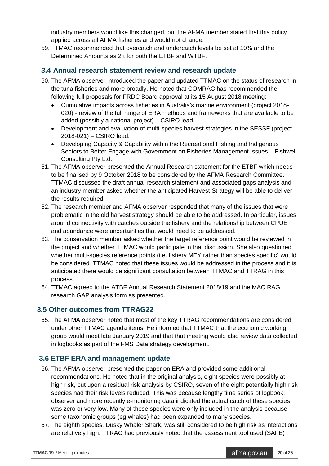industry members would like this changed, but the AFMA member stated that this policy applied across all AFMA fisheries and would not change.

59. TTMAC recommended that overcatch and undercatch levels be set at 10% and the Determined Amounts as 2 t for both the ETBF and WTBF.

### <span id="page-19-0"></span>**3.4 Annual research statement review and research update**

- 60. The AFMA observer introduced the paper and updated TTMAC on the status of research in the tuna fisheries and more broadly. He noted that COMRAC has recommended the following full proposals for FRDC Board approval at its 15 August 2018 meeting:
	- Cumulative impacts across fisheries in Australia's marine environment (project 2018- 020) - review of the full range of ERA methods and frameworks that are available to be added (possibly a national project) – CSIRO lead.
	- Development and evaluation of multi-species harvest strategies in the SESSF (project 2018-021) – CSIRO lead.
	- Developing Capacity & Capability within the Recreational Fishing and Indigenous Sectors to Better Engage with Government on Fisheries Management Issues – Fishwell Consulting Pty Ltd.
- 61. The AFMA observer presented the Annual Research statement for the ETBF which needs to be finalised by 9 October 2018 to be considered by the AFMA Research Committee. TTMAC discussed the draft annual research statement and associated gaps analysis and an industry member asked whether the anticipated Harvest Strategy will be able to deliver the results required
- 62. The research member and AFMA observer responded that many of the issues that were problematic in the old harvest strategy should be able to be addressed. In particular, issues around connectivity with catches outside the fishery and the relationship between CPUE and abundance were uncertainties that would need to be addressed.
- 63. The conservation member asked whether the target reference point would be reviewed in the project and whether TTMAC would participate in that discussion. She also questioned whether multi-species reference points (i.e. fishery MEY rather than species specific) would be considered. TTMAC noted that these issues would be addressed in the process and it is anticipated there would be significant consultation between TTMAC and TTRAG in this process.
- 64. TTMAC agreed to the ATBF Annual Research Statement 2018/19 and the MAC RAG research GAP analysis form as presented.

## <span id="page-19-1"></span>**3.5 Other outcomes from TTRAG22**

65. The AFMA observer noted that most of the key TTRAG recommendations are considered under other TTMAC agenda items. He informed that TTMAC that the economic working group would meet late January 2019 and that that meeting would also review data collected in logbooks as part of the FMS Data strategy development.

## <span id="page-19-2"></span>**3.6 ETBF ERA and management update**

- 66. The AFMA observer presented the paper on ERA and provided some additional recommendations. He noted that in the original analysis, eight species were possibly at high risk, but upon a residual risk analysis by CSIRO, seven of the eight potentially high risk species had their risk levels reduced. This was because lengthy time series of logbook, observer and more recently e-monitoring data indicated the actual catch of these species was zero or very low. Many of these species were only included in the analysis because some taxonomic groups (eg whales) had been expanded to many species.
- 67. The eighth species, Dusky Whaler Shark, was still considered to be high risk as interactions are relatively high. TTRAG had previously noted that the assessment tool used (SAFE)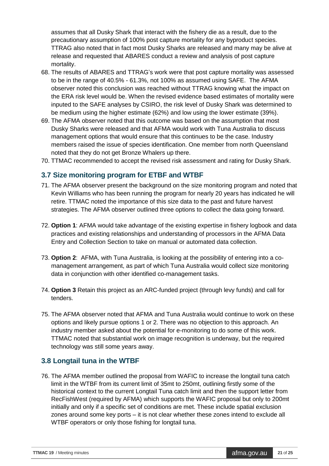assumes that all Dusky Shark that interact with the fishery die as a result, due to the precautionary assumption of 100% post capture mortality for any byproduct species. TTRAG also noted that in fact most Dusky Sharks are released and many may be alive at release and requested that ABARES conduct a review and analysis of post capture mortality.

- 68. The results of ABARES and TTRAG's work were that post capture mortality was assessed to be in the range of 40.5% - 61.3%, not 100% as assumed using SAFE. The AFMA observer noted this conclusion was reached without TTRAG knowing what the impact on the ERA risk level would be. When the revised evidence based estimates of mortality were inputed to the SAFE analyses by CSIRO, the risk level of Dusky Shark was determined to be medium using the higher estimate (62%) and low using the lower estimate (39%).
- 69. The AFMA observer noted that this outcome was based on the assumption that most Dusky Sharks were released and that AFMA would work with Tuna Australia to discuss management options that would ensure that this continues to be the case. Industry members raised the issue of species identification. One member from north Queensland noted that they do not get Bronze Whalers up there.
- 70. TTMAC recommended to accept the revised risk assessment and rating for Dusky Shark.

### <span id="page-20-0"></span>**3.7 Size monitoring program for ETBF and WTBF**

- 71. The AFMA observer present the background on the size monitoring program and noted that Kevin Williams who has been running the program for nearly 20 years has indicated he will retire. TTMAC noted the importance of this size data to the past and future harvest strategies. The AFMA observer outlined three options to collect the data going forward.
- 72. **Option 1**: AFMA would take advantage of the existing expertise in fishery logbook and data practices and existing relationships and understanding of processors in the AFMA Data Entry and Collection Section to take on manual or automated data collection.
- 73. **Option 2**: AFMA, with Tuna Australia, is looking at the possibility of entering into a comanagement arrangement, as part of which Tuna Australia would collect size monitoring data in conjunction with other identified co-management tasks.
- 74. **Option 3** Retain this project as an ARC-funded project (through levy funds) and call for tenders.
- 75. The AFMA observer noted that AFMA and Tuna Australia would continue to work on these options and likely pursue options 1 or 2. There was no objection to this approach. An industry member asked about the potential for e-monitoring to do some of this work. TTMAC noted that substantial work on image recognition is underway, but the required technology was still some years away.

## <span id="page-20-1"></span>**3.8 Longtail tuna in the WTBF**

76. The AFMA member outlined the proposal from WAFIC to increase the longtail tuna catch limit in the WTBF from its current limit of 35mt to 250mt, outlining firstly some of the historical context to the current Longtail Tuna catch limit and then the support letter from RecFishWest (required by AFMA) which supports the WAFIC proposal but only to 200mt initially and only if a specific set of conditions are met. These include spatial exclusion zones around some key ports – it is not clear whether these zones intend to exclude all WTBF operators or only those fishing for longtail tuna.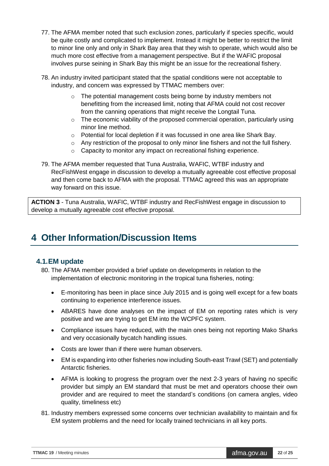- 77. The AFMA member noted that such exclusion zones, particularly if species specific, would be quite costly and complicated to implement. Instead it might be better to restrict the limit to minor line only and only in Shark Bay area that they wish to operate, which would also be much more cost effective from a management perspective. But if the WAFIC proposal involves purse seining in Shark Bay this might be an issue for the recreational fishery.
- 78. An industry invited participant stated that the spatial conditions were not acceptable to industry, and concern was expressed by TTMAC members over:
	- o The potential management costs being borne by industry members not benefitting from the increased limit, noting that AFMA could not cost recover from the canning operations that might receive the Longtail Tuna.
	- $\circ$  The economic viability of the proposed commercial operation, particularly using minor line method.
	- o Potential for local depletion if it was focussed in one area like Shark Bay.
	- $\circ$  Any restriction of the proposal to only minor line fishers and not the full fishery.
	- o Capacity to monitor any impact on recreational fishing experience.
- 79. The AFMA member requested that Tuna Australia, WAFIC, WTBF industry and RecFishWest engage in discussion to develop a mutually agreeable cost effective proposal and then come back to AFMA with the proposal. TTMAC agreed this was an appropriate way forward on this issue.

**ACTION 3** - Tuna Australia, WAFIC, WTBF industry and RecFishWest engage in discussion to develop a mutually agreeable cost effective proposal.

## <span id="page-21-0"></span>**4 Other Information/Discussion Items**

#### **4.1.EM update**

- 80. The AFMA member provided a brief update on developments in relation to the implementation of electronic monitoring in the tropical tuna fisheries, noting:
	- E-monitoring has been in place since July 2015 and is going well except for a few boats continuing to experience interference issues.
	- ABARES have done analyses on the impact of EM on reporting rates which is very positive and we are trying to get EM into the WCPFC system.
	- Compliance issues have reduced, with the main ones being not reporting Mako Sharks and very occasionally bycatch handling issues.
	- Costs are lower than if there were human observers.
	- EM is expanding into other fisheries now including South-east Trawl (SET) and potentially Antarctic fisheries.
	- AFMA is looking to progress the program over the next 2-3 years of having no specific provider but simply an EM standard that must be met and operators choose their own provider and are required to meet the standard's conditions (on camera angles, video quality, timeliness etc)
- 81. Industry members expressed some concerns over technician availability to maintain and fix EM system problems and the need for locally trained technicians in all key ports.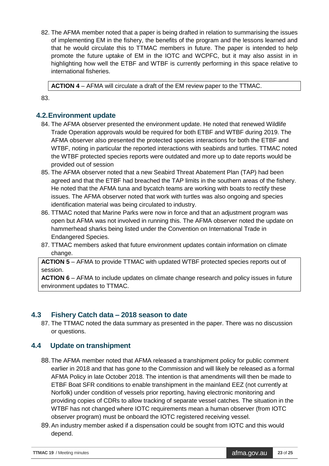82. The AFMA member noted that a paper is being drafted in relation to summarising the issues of implementing EM in the fishery, the benefits of the program and the lessons learned and that he would circulate this to TTMAC members in future. The paper is intended to help promote the future uptake of EM in the IOTC and WCPFC, but it may also assist in in highlighting how well the ETBF and WTBF is currently performing in this space relative to international fisheries.

**ACTION 4** – AFMA will circulate a draft of the EM review paper to the TTMAC.

83.

### **4.2.Environment update**

- 84. The AFMA observer presented the environment update. He noted that renewed Wildlife Trade Operation approvals would be required for both ETBF and WTBF during 2019. The AFMA observer also presented the protected species interactions for both the ETBF and WTBF, noting in particular the reported interactions with seabirds and turtles. TTMAC noted the WTBF protected species reports were outdated and more up to date reports would be provided out of session
- 85. The AFMA observer noted that a new Seabird Threat Abatement Plan (TAP) had been agreed and that the ETBF had breached the TAP limits in the southern areas of the fishery. He noted that the AFMA tuna and bycatch teams are working with boats to rectify these issues. The AFMA observer noted that work with turtles was also ongoing and species identification material was being circulated to industry.
- 86. TTMAC noted that Marine Parks were now in force and that an adjustment program was open but AFMA was not involved in running this. The AFMA observer noted the update on hammerhead sharks being listed under the Convention on International Trade in Endangered Species.
- 87. TTMAC members asked that future environment updates contain information on climate change.

**ACTION 5** – AFMA to provide TTMAC with updated WTBF protected species reports out of session.

**ACTION 6** – AFMA to include updates on climate change research and policy issues in future environment updates to TTMAC.

#### **4.3 Fishery Catch data – 2018 season to date**

87. The TTMAC noted the data summary as presented in the paper. There was no discussion or questions.

## **4.4 Update on transhipment**

- 88.The AFMA member noted that AFMA released a transhipment policy for public comment earlier in 2018 and that has gone to the Commission and will likely be released as a formal AFMA Policy in late October 2018. The intention is that amendments will then be made to ETBF Boat SFR conditions to enable transhipment in the mainland EEZ (not currently at Norfolk) under condition of vessels prior reporting, having electronic monitoring and providing copies of CDRs to allow tracking of separate vessel catches. The situation in the WTBF has not changed where IOTC requirements mean a human observer (from IOTC observer program) must be onboard the IOTC registered receiving vessel.
- 89.An industry member asked if a dispensation could be sought from IOTC and this would depend.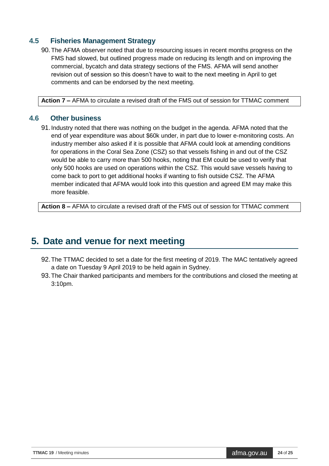### **4.5 Fisheries Management Strategy**

90. The AFMA observer noted that due to resourcing issues in recent months progress on the FMS had slowed, but outlined progress made on reducing its length and on improving the commercial, bycatch and data strategy sections of the FMS. AFMA will send another revision out of session so this doesn't have to wait to the next meeting in April to get comments and can be endorsed by the next meeting.

**Action 7 –** AFMA to circulate a revised draft of the FMS out of session for TTMAC comment

#### **4.6 Other business**

91.Industry noted that there was nothing on the budget in the agenda. AFMA noted that the end of year expenditure was about \$60k under, in part due to lower e-monitoring costs. An industry member also asked if it is possible that AFMA could look at amending conditions for operations in the Coral Sea Zone (CSZ) so that vessels fishing in and out of the CSZ would be able to carry more than 500 hooks, noting that EM could be used to verify that only 500 hooks are used on operations within the CSZ. This would save vessels having to come back to port to get additional hooks if wanting to fish outside CSZ. The AFMA member indicated that AFMA would look into this question and agreed EM may make this more feasible.

**Action 8 –** AFMA to circulate a revised draft of the FMS out of session for TTMAC comment

## <span id="page-23-0"></span>**5. Date and venue for next meeting**

- 92.The TTMAC decided to set a date for the first meeting of 2019. The MAC tentatively agreed a date on Tuesday 9 April 2019 to be held again in Sydney.
- 93.The Chair thanked participants and members for the contributions and closed the meeting at 3:10pm.